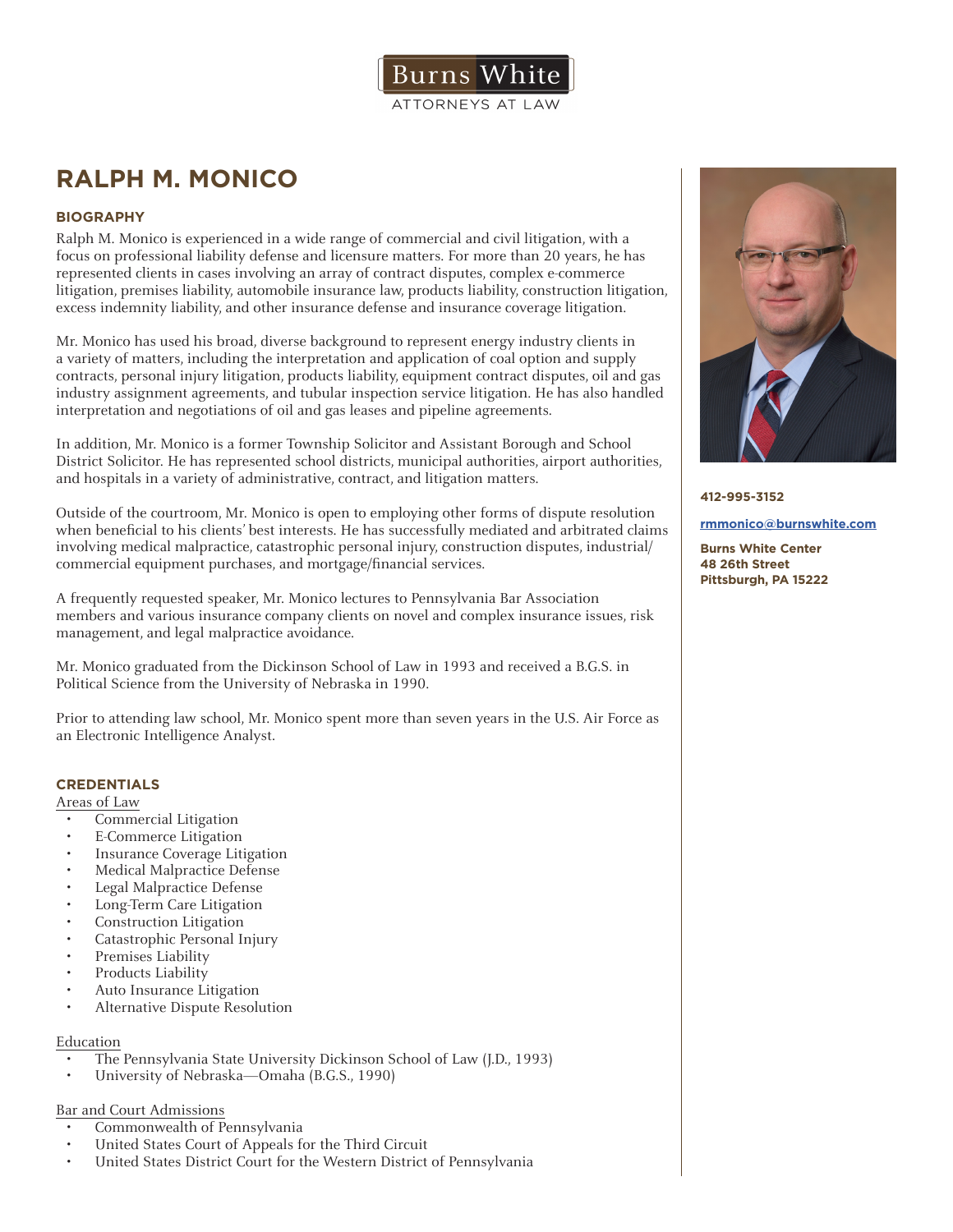

# **RALPH M. MONICO**

## **BIOGRAPHY**

Ralph M. Monico is experienced in a wide range of commercial and civil litigation, with a focus on professional liability defense and licensure matters. For more than 20 years, he has represented clients in cases involving an array of contract disputes, complex e-commerce litigation, premises liability, automobile insurance law, products liability, construction litigation, excess indemnity liability, and other insurance defense and insurance coverage litigation.

Mr. Monico has used his broad, diverse background to represent energy industry clients in a variety of matters, including the interpretation and application of coal option and supply contracts, personal injury litigation, products liability, equipment contract disputes, oil and gas industry assignment agreements, and tubular inspection service litigation. He has also handled interpretation and negotiations of oil and gas leases and pipeline agreements.

In addition, Mr. Monico is a former Township Solicitor and Assistant Borough and School District Solicitor. He has represented school districts, municipal authorities, airport authorities, and hospitals in a variety of administrative, contract, and litigation matters.

Outside of the courtroom, Mr. Monico is open to employing other forms of dispute resolution when beneficial to his clients' best interests. He has successfully mediated and arbitrated claims involving medical malpractice, catastrophic personal injury, construction disputes, industrial/ commercial equipment purchases, and mortgage/financial services.

A frequently requested speaker, Mr. Monico lectures to Pennsylvania Bar Association members and various insurance company clients on novel and complex insurance issues, risk management, and legal malpractice avoidance.

Mr. Monico graduated from the Dickinson School of Law in 1993 and received a B.G.S. in Political Science from the University of Nebraska in 1990.

Prior to attending law school, Mr. Monico spent more than seven years in the U.S. Air Force as an Electronic Intelligence Analyst.

## **CREDENTIALS**

Areas of Law

- Commercial Litigation
- E-Commerce Litigation
- Insurance Coverage Litigation
- Medical Malpractice Defense
- Legal Malpractice Defense
- Long-Term Care Litigation
- Construction Litigation
- Catastrophic Personal Injury
- Premises Liability
- Products Liability
- Auto Insurance Litigation
- Alternative Dispute Resolution

## Education

- The Pennsylvania State University Dickinson School of Law (J.D., 1993)
- University of Nebraska—Omaha (B.G.S., 1990)

## Bar and Court Admissions

- Commonwealth of Pennsylvania
- United States Court of Appeals for the Third Circuit
- United States District Court for the Western District of Pennsylvania



#### **412-995-3152**

#### **rmmonico@burnswhite.com**

**Burns White Center 48 26th Street Pittsburgh, PA 15222**